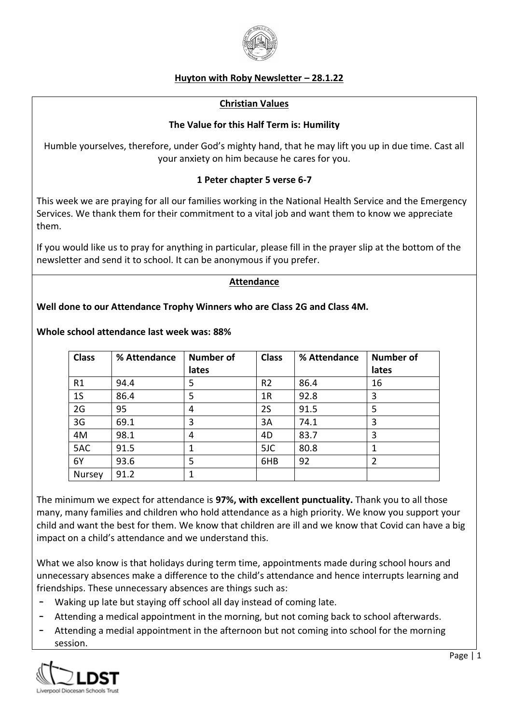

# **Huyton with Roby Newsletter – 28.1.22**

#### **Christian Values**

## **The Value for this Half Term is: Humility**

Humble yourselves, therefore, under God's mighty hand, that he may lift you up in due time. Cast all your anxiety on him because he cares for you.

# **1 Peter chapter 5 verse 6-7**

This week we are praying for all our families working in the National Health Service and the Emergency Services. We thank them for their commitment to a vital job and want them to know we appreciate them.

If you would like us to pray for anything in particular, please fill in the prayer slip at the bottom of the newsletter and send it to school. It can be anonymous if you prefer.

#### **Attendance**

## **Well done to our Attendance Trophy Winners who are Class 2G and Class 4M.**

| <b>Class</b>   | % Attendance | <b>Number of</b><br>lates | <b>Class</b>   | % Attendance | <b>Number of</b><br>lates |
|----------------|--------------|---------------------------|----------------|--------------|---------------------------|
| R1             | 94.4         | 5                         | R <sub>2</sub> | 86.4         | 16                        |
| 1 <sub>S</sub> | 86.4         | 5                         | 1R             | 92.8         | 3                         |
| 2G             | 95           | 4                         | 2S             | 91.5         | 5                         |
| 3G             | 69.1         | 3                         | 3A             | 74.1         | 3                         |
| 4M             | 98.1         | 4                         | 4D             | 83.7         | 3                         |
| 5AC            | 91.5         | 1                         | 5JC            | 80.8         |                           |
| 6Y             | 93.6         | 5                         | 6HB            | 92           | $\overline{2}$            |
| Nursey         | 91.2         | 1                         |                |              |                           |

## **Whole school attendance last week was: 88%**

The minimum we expect for attendance is **97%, with excellent punctuality.** Thank you to all those many, many families and children who hold attendance as a high priority. We know you support your child and want the best for them. We know that children are ill and we know that Covid can have a big impact on a child's attendance and we understand this.

What we also know is that holidays during term time, appointments made during school hours and unnecessary absences make a difference to the child's attendance and hence interrupts learning and friendships. These unnecessary absences are things such as:

- Waking up late but staying off school all day instead of coming late.
- Attending a medical appointment in the morning, but not coming back to school afterwards.
- Attending a medial appointment in the afternoon but not coming into school for the morning session.

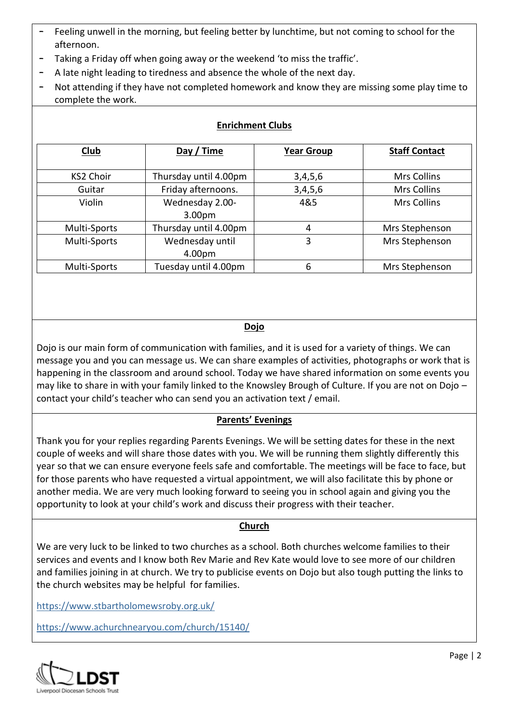- Feeling unwell in the morning, but feeling better by lunchtime, but not coming to school for the afternoon.
- Taking a Friday off when going away or the weekend 'to miss the traffic'.
- A late night leading to tiredness and absence the whole of the next day.
- Not attending if they have not completed homework and know they are missing some play time to complete the work.

| Club             | Day / Time            | <b>Year Group</b> | <b>Staff Contact</b> |
|------------------|-----------------------|-------------------|----------------------|
|                  |                       |                   |                      |
| <b>KS2 Choir</b> | Thursday until 4.00pm | 3,4,5,6           | <b>Mrs Collins</b>   |
| Guitar           | Friday afternoons.    | 3,4,5,6           | Mrs Collins          |
| Violin           | Wednesday 2.00-       | 4&5               | <b>Mrs Collins</b>   |
|                  | 3.00pm                |                   |                      |
| Multi-Sports     | Thursday until 4.00pm | 4                 | Mrs Stephenson       |
| Multi-Sports     | Wednesday until       | 3                 | Mrs Stephenson       |
|                  | 4.00pm                |                   |                      |
| Multi-Sports     | Tuesday until 4.00pm  | 6                 | Mrs Stephenson       |

# **Enrichment Clubs**

# **Dojo**

Dojo is our main form of communication with families, and it is used for a variety of things. We can message you and you can message us. We can share examples of activities, photographs or work that is happening in the classroom and around school. Today we have shared information on some events you may like to share in with your family linked to the Knowsley Brough of Culture. If you are not on Dojo – contact your child's teacher who can send you an activation text / email.

# **Parents' Evenings**

Thank you for your replies regarding Parents Evenings. We will be setting dates for these in the next couple of weeks and will share those dates with you. We will be running them slightly differently this year so that we can ensure everyone feels safe and comfortable. The meetings will be face to face, but for those parents who have requested a virtual appointment, we will also facilitate this by phone or another media. We are very much looking forward to seeing you in school again and giving you the opportunity to look at your child's work and discuss their progress with their teacher.

# **Church**

We are very luck to be linked to two churches as a school. Both churches welcome families to their services and events and I know both Rev Marie and Rev Kate would love to see more of our children and families joining in at church. We try to publicise events on Dojo but also tough putting the links to the church websites may be helpful for families.

<https://www.stbartholomewsroby.org.uk/>

<https://www.achurchnearyou.com/church/15140/>

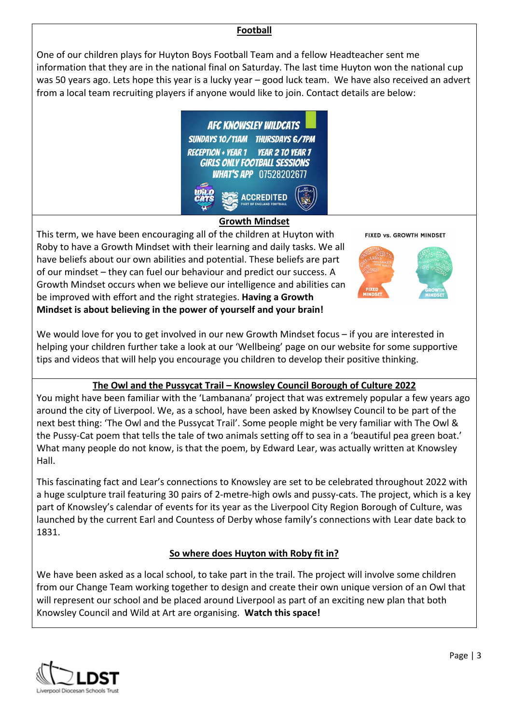## **Football**

One of our children plays for Huyton Boys Football Team and a fellow Headteacher sent me information that they are in the national final on Saturday. The last time Huyton won the national cup was 50 years ago. Lets hope this year is a lucky year – good luck team. We have also received an advert from a local team recruiting players if anyone would like to join. Contact details are below:





This term, we have been encouraging all of the children at Huyton with Roby to have a Growth Mindset with their learning and daily tasks. We all have beliefs about our own abilities and potential. These beliefs are part of our mindset – they can fuel our behaviour and predict our success. A Growth Mindset occurs when we believe our intelligence and abilities can be improved with effort and the right strategies. **Having a Growth Mindset is about believing in the power of yourself and your brain!**

FIXED VS. GROWTH MINDSET



We would love for you to get involved in our new Growth Mindset focus – if you are interested in helping your children further take a look at our 'Wellbeing' page on our website for some supportive tips and videos that will help you encourage you children to develop their positive thinking.

# **The Owl and the Pussycat Trail – Knowsley Council Borough of Culture 2022**

You might have been familiar with the 'Lambanana' project that was extremely popular a few years ago around the city of Liverpool. We, as a school, have been asked by Knowlsey Council to be part of the next best thing: 'The Owl and the Pussycat Trail'. Some people might be very familiar with The Owl & the Pussy-Cat poem that tells the tale of two animals setting off to sea in a 'beautiful pea green boat.' What many people do not know, is that the poem, by Edward Lear, was actually written at [Knowsley](https://knowsleyhallvenue.co.uk/)  [Hall.](https://knowsleyhallvenue.co.uk/)

This fascinating fact and Lear's connections to Knowsley are set to be celebrated throughout 2022 with a huge sculpture trail featuring 30 pairs of 2-metre-high owls and pussy-cats. The project, which is a key part of Knowsley's calendar of events for its year as the Liverpool City Region Borough of Culture, was launched by the current Earl and Countess of Derby whose family's connections with Lear date back to 1831.

# **So where does Huyton with Roby fit in?**

We have been asked as a local school, to take part in the trail. The project will involve some children from our Change Team working together to design and create their own unique version of an Owl that will represent our school and be placed around Liverpool as part of an exciting new plan that both Knowsley Council and Wild at Art are organising. **Watch this space!**

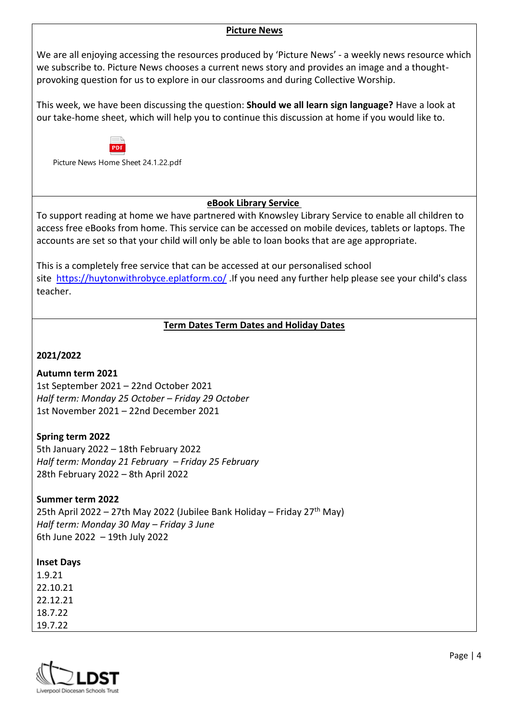#### **Picture News**

We are all enjoying accessing the resources produced by 'Picture News' - a weekly news resource which we subscribe to. Picture News chooses a current news story and provides an image and a thoughtprovoking question for us to explore in our classrooms and during Collective Worship.

This week, we have been discussing the question: **Should we all learn sign language?** Have a look at our take-home sheet, which will help you to continue this discussion at home if you would like to.



Picture News Home Sheet 24.1.22.pdf

## **eBook Library Service**

To support reading at home we have partnered with Knowsley Library Service to enable all children to access free eBooks from home. This service can be accessed on mobile devices, tablets or laptops. The accounts are set so that your child will only be able to loan books that are age appropriate.

This is a completely free service that can be accessed at our personalised school site <https://huytonwithrobyce.eplatform.co/> .If you need any further help please see your child's class teacher.

## **Term Dates Term Dates and Holiday Dates**

## **2021/2022**

#### **Autumn term 2021**

1st September 2021 – 22nd October 2021 *Half term: Monday 25 October – Friday 29 October* 1st November 2021 – 22nd December 2021

# **Spring term 2022**

5th January 2022 – 18th February 2022 *Half term: Monday 21 February – Friday 25 February* 28th February 2022 – 8th April 2022

# **Summer term 2022**

25th April 2022 – 27th May 2022 (Jubilee Bank Holiday – Friday 27<sup>th</sup> May) *Half term: Monday 30 May – Friday 3 June* 6th June 2022 – 19th July 2022

#### **Inset Days**

1.9.21 22.10.21 22.12.21 18.7.22 19.7.22